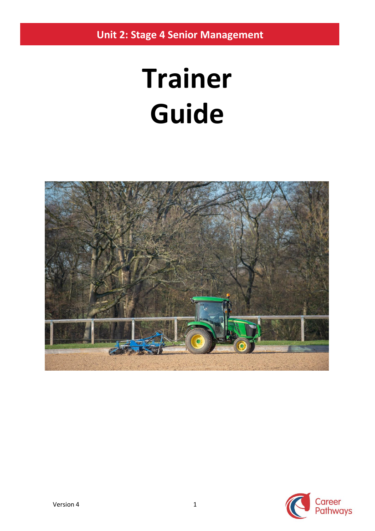**Unit 2: Stage 4 Senior Management**

# **Trainer Guide**



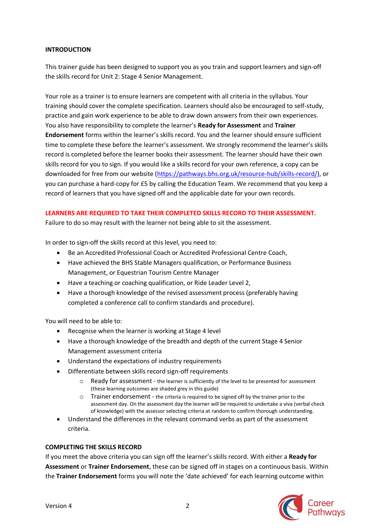#### **INTRODUCTION**

This trainer guide has been designed to support you as you train and support learners and sign-off the skills record for Unit 2: Stage 4 Senior Management.

Your role as a trainer is to ensure learners are competent with all criteria in the syllabus. Your training should cover the complete specification. Learners should also be encouraged to self-study, practice and gain work experience to be able to draw down answers from their own experiences. You also have responsibility to complete the learner's **Ready for Assessment** and **Trainer Endorsement** forms within the learner's skills record. You and the learner should ensure sufficient time to complete these before the learner's assessment. We strongly recommend the learner's skills record is completed before the learner books their assessment. The learner should have their own skills record for you to sign. If you would like a skills record for your own reference, a copy can be downloaded for free from our website [\(https://pathways.bhs.org.uk/resource-hub/skills-record/\)](https://pathways.bhs.org.uk/resource-hub/skills-record/), or you can purchase a hard-copy for £5 by calling the Education Team. We recommend that you keep a record of learners that you have signed off and the applicable date for your own records.

#### **LEARNERS ARE REQUIRED TO TAKE THEIR COMPLETED SKILLS RECORD TO THEIR ASSESSMENT.**

Failure to do so may result with the learner not being able to sit the assessment.

In order to sign-off the skills record at this level, you need to:

- Be an Accredited Professional Coach or Accredited Professional Centre Coach,
- Have achieved the BHS Stable Managers qualification, or Performance Business Management, or Equestrian Tourism Centre Manager
- Have a teaching or coaching qualification, or Ride Leader Level 2,
- Have a thorough knowledge of the revised assessment process (preferably having completed a conference call to confirm standards and procedure).

You will need to be able to:

- Recognise when the learner is working at Stage 4 level
- Have a thorough knowledge of the breadth and depth of the current Stage 4 Senior Management assessment criteria
- Understand the expectations of industry requirements
- Differentiate between skills record sign-off requirements
	- o Ready for assessment the learner is sufficiently of the level to be presented for assessment (these learning outcomes are shaded grey in this guide)
	- $\circ$  Trainer endorsement the criteria is required to be signed off by the trainer prior to the assessment day. On the assessment day the learner will be required to undertake a viva (verbal check of knowledge) with the assessor selecting criteria at random to confirm thorough understanding.
- Understand the differences in the relevant command verbs as part of the assessment criteria.

## **COMPLETING THE SKILLS RECORD**

If you meet the above criteria you can sign off the learner's skills record. With either a **Ready for Assessment** or **Trainer Endorsement**, these can be signed off in stages on a continuous basis. Within the **Trainer Endorsement** forms you will note the 'date achieved' for each learning outcome within

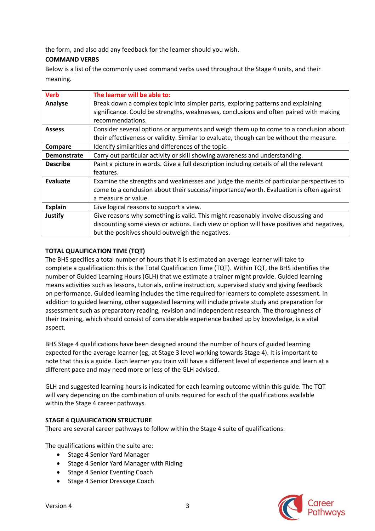the form, and also add any feedback for the learner should you wish.

## **COMMAND VERBS**

Below is a list of the commonly used command verbs used throughout the Stage 4 units, and their meaning.

| <b>Verb</b>        | The learner will be able to:                                                              |
|--------------------|-------------------------------------------------------------------------------------------|
| Analyse            | Break down a complex topic into simpler parts, exploring patterns and explaining          |
|                    | significance. Could be strengths, weaknesses, conclusions and often paired with making    |
|                    | recommendations.                                                                          |
| <b>Assess</b>      | Consider several options or arguments and weigh them up to come to a conclusion about     |
|                    | their effectiveness or validity. Similar to evaluate, though can be without the measure.  |
| Compare            | Identify similarities and differences of the topic.                                       |
| <b>Demonstrate</b> | Carry out particular activity or skill showing awareness and understanding.               |
| <b>Describe</b>    | Paint a picture in words. Give a full description including details of all the relevant   |
|                    | features.                                                                                 |
| Evaluate           | Examine the strengths and weaknesses and judge the merits of particular perspectives to   |
|                    | come to a conclusion about their success/importance/worth. Evaluation is often against    |
|                    | a measure or value.                                                                       |
| <b>Explain</b>     | Give logical reasons to support a view.                                                   |
| <b>Justify</b>     | Give reasons why something is valid. This might reasonably involve discussing and         |
|                    | discounting some views or actions. Each view or option will have positives and negatives, |
|                    | but the positives should outweigh the negatives.                                          |

## **TOTAL QUALIFICATION TIME (TQT)**

The BHS specifies a total number of hours that it is estimated an average learner will take to complete a qualification: this is the Total Qualification Time (TQT). Within TQT, the BHS identifies the number of Guided Learning Hours (GLH) that we estimate a trainer might provide. Guided learning means activities such as lessons, tutorials, online instruction, supervised study and giving feedback on performance. Guided learning includes the time required for learners to complete assessment. In addition to guided learning, other suggested learning will include private study and preparation for assessment such as preparatory reading, revision and independent research. The thoroughness of their training, which should consist of considerable experience backed up by knowledge, is a vital aspect.

BHS Stage 4 qualifications have been designed around the number of hours of guided learning expected for the average learner (eg, at Stage 3 level working towards Stage 4). It is important to note that this is a guide. Each learner you train will have a different level of experience and learn at a different pace and may need more or less of the GLH advised.

GLH and suggested learning hours is indicated for each learning outcome within this guide. The TQT will vary depending on the combination of units required for each of the qualifications available within the Stage 4 career pathways.

## **STAGE 4 QUALIFICATION STRUCTURE**

There are several career pathways to follow within the Stage 4 suite of qualifications.

The qualifications within the suite are:

- Stage 4 Senior Yard Manager
- Stage 4 Senior Yard Manager with Riding
- Stage 4 Senior Eventing Coach
- Stage 4 Senior Dressage Coach

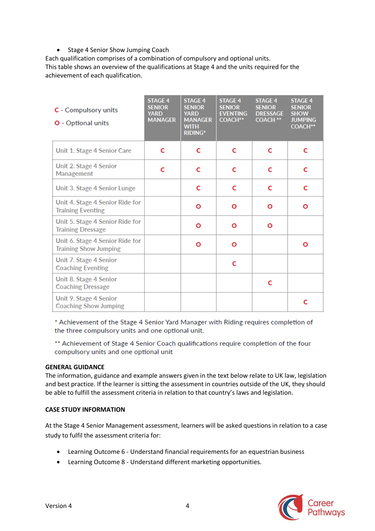## • Stage 4 Senior Show Jumping Coach

Each qualification comprises of a combination of compulsory and optional units. This table shows an overview of the qualifications at Stage 4 and the units required for the achievement of each qualification.

| C - Compulsory units<br><b>O</b> - Optional units               | <b>STAGE 4</b><br><b>SENIOR</b><br><b>YARD</b><br><b>MANAGER</b> | <b>STAGE 4</b><br><b>SENIOR</b><br><b>YARD</b><br><b>MANAGER</b><br><b>WITH</b><br><b>RIDING*</b> | <b>STAGE 4</b><br><b>SENIOR</b><br><b>EVENTING</b><br><b>COACH**</b> | <b>STAGE 4</b><br><b>SENIOR</b><br><b>DRESSAGE</b><br><b>COACH **</b> | <b>STAGE 4</b><br><b>SENIOR</b><br><b>SHOW</b><br><b>JUMPING</b><br><b>COACH**</b> |
|-----------------------------------------------------------------|------------------------------------------------------------------|---------------------------------------------------------------------------------------------------|----------------------------------------------------------------------|-----------------------------------------------------------------------|------------------------------------------------------------------------------------|
| Unit 1. Stage 4 Senior Care                                     | C                                                                | C                                                                                                 | c                                                                    | C                                                                     | C                                                                                  |
| Unit 2. Stage 4 Senior<br>Management                            | C                                                                | C                                                                                                 | c                                                                    | C                                                                     | C                                                                                  |
| Unit 3. Stage 4 Senior Lunge                                    |                                                                  | C                                                                                                 | c                                                                    | C                                                                     | C                                                                                  |
| Unit 4. Stage 4 Senior Ride for<br><b>Training Eventing</b>     |                                                                  | Ο                                                                                                 | Ο                                                                    | Ο                                                                     | Ο                                                                                  |
| Unit 5. Stage 4 Senior Ride for<br><b>Training Dressage</b>     |                                                                  | Ο                                                                                                 | Ο                                                                    | Ο                                                                     |                                                                                    |
| Unit 6. Stage 4 Senior Ride for<br><b>Training Show Jumping</b> |                                                                  | О                                                                                                 | Ο                                                                    |                                                                       | Ο                                                                                  |
| Unit 7. Stage 4 Senior<br><b>Coaching Eventing</b>              |                                                                  |                                                                                                   | C                                                                    |                                                                       |                                                                                    |
| Unit 8. Stage 4 Senior<br><b>Coaching Dressage</b>              |                                                                  |                                                                                                   |                                                                      | C                                                                     |                                                                                    |
| Unit 9. Stage 4 Senior<br><b>Coaching Show Jumping</b>          |                                                                  |                                                                                                   |                                                                      |                                                                       | c                                                                                  |

\* Achievement of the Stage 4 Senior Yard Manager with Riding requires completion of the three compulsory units and one optional unit.

\*\* Achievement of Stage 4 Senior Coach qualifications require completion of the four compulsory units and one optional unit

#### **GENERAL GUIDANCE**

The information, guidance and example answers given in the text below relate to UK law, legislation and best practice. If the learner is sitting the assessment in countries outside of the UK, they should be able to fulfill the assessment criteria in relation to that country's laws and legislation.

#### **CASE STUDY INFORMATION**

At the Stage 4 Senior Management assessment, learners will be asked questions in relation to a case study to fulfil the assessment criteria for:

- Learning Outcome 6 Understand financial requirements for an equestrian business
- Learning Outcome 8 Understand different marketing opportunities.

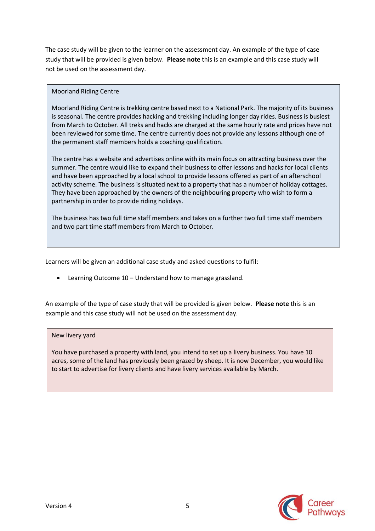The case study will be given to the learner on the assessment day. An example of the type of case study that will be provided is given below. **Please note** this is an example and this case study will not be used on the assessment day.

#### Moorland Riding Centre

Moorland Riding Centre is trekking centre based next to a National Park. The majority of its business is seasonal. The centre provides hacking and trekking including longer day rides. Business is busiest from March to October. All treks and hacks are charged at the same hourly rate and prices have not been reviewed for some time. The centre currently does not provide any lessons although one of the permanent staff members holds a coaching qualification.

The centre has a website and advertises online with its main focus on attracting business over the summer. The centre would like to expand their business to offer lessons and hacks for local clients and have been approached by a local school to provide lessons offered as part of an afterschool activity scheme. The business is situated next to a property that has a number of holiday cottages. They have been approached by the owners of the neighbouring property who wish to form a partnership in order to provide riding holidays.

The business has two full time staff members and takes on a further two full time staff members and two part time staff members from March to October.

Learners will be given an additional case study and asked questions to fulfil:

• Learning Outcome 10 – Understand how to manage grassland.

An example of the type of case study that will be provided is given below. **Please note** this is an example and this case study will not be used on the assessment day.

#### New livery yard

You have purchased a property with land, you intend to set up a livery business. You have 10 acres, some of the land has previously been grazed by sheep. It is now December, you would like to start to advertise for livery clients and have livery services available by March.

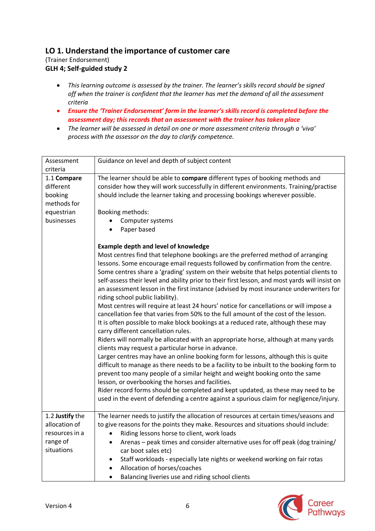## **LO 1. Understand the importance of customer care**

(Trainer Endorsement) **GLH 4; Self-guided study 2**

- *This learning outcome is assessed by the trainer. The learner's skills record should be signed off when the trainer is confident that the learner has met the demand of all the assessment criteria*
- *Ensure the 'Trainer Endorsement' form in the learner's skills record is completed before the assessment day; this records that an assessment with the trainer has taken place*
- *The learner will be assessed in detail on one or more assessment criteria through a 'viva' process with the assessor on the day to clarify competence.*

| Assessment<br>criteria                                                         | Guidance on level and depth of subject content                                                                                                                                                                                                                                                                                                                                                                                                                                                                                                                                                                                                                                                                                                                                                                                                                                                                                                                                                                                                                                                                                                                                                                                                                                                                                                                                                                                                                                                               |
|--------------------------------------------------------------------------------|--------------------------------------------------------------------------------------------------------------------------------------------------------------------------------------------------------------------------------------------------------------------------------------------------------------------------------------------------------------------------------------------------------------------------------------------------------------------------------------------------------------------------------------------------------------------------------------------------------------------------------------------------------------------------------------------------------------------------------------------------------------------------------------------------------------------------------------------------------------------------------------------------------------------------------------------------------------------------------------------------------------------------------------------------------------------------------------------------------------------------------------------------------------------------------------------------------------------------------------------------------------------------------------------------------------------------------------------------------------------------------------------------------------------------------------------------------------------------------------------------------------|
| 1.1 Compare<br>different<br>booking<br>methods for<br>equestrian<br>businesses | The learner should be able to compare different types of booking methods and<br>consider how they will work successfully in different environments. Training/practise<br>should include the learner taking and processing bookings wherever possible.<br>Booking methods:<br>Computer systems<br>Paper based                                                                                                                                                                                                                                                                                                                                                                                                                                                                                                                                                                                                                                                                                                                                                                                                                                                                                                                                                                                                                                                                                                                                                                                                 |
|                                                                                | <b>Example depth and level of knowledge</b><br>Most centres find that telephone bookings are the preferred method of arranging<br>lessons. Some encourage email requests followed by confirmation from the centre.<br>Some centres share a 'grading' system on their website that helps potential clients to<br>self-assess their level and ability prior to their first lesson, and most yards will insist on<br>an assessment lesson in the first instance (advised by most insurance underwriters for<br>riding school public liability).<br>Most centres will require at least 24 hours' notice for cancellations or will impose a<br>cancellation fee that varies from 50% to the full amount of the cost of the lesson.<br>It is often possible to make block bookings at a reduced rate, although these may<br>carry different cancellation rules.<br>Riders will normally be allocated with an appropriate horse, although at many yards<br>clients may request a particular horse in advance.<br>Larger centres may have an online booking form for lessons, although this is quite<br>difficult to manage as there needs to be a facility to be inbuilt to the booking form to<br>prevent too many people of a similar height and weight booking onto the same<br>lesson, or overbooking the horses and facilities.<br>Rider record forms should be completed and kept updated, as these may need to be<br>used in the event of defending a centre against a spurious claim for negligence/injury. |
| 1.2 Justify the<br>allocation of<br>resources in a<br>range of                 | The learner needs to justify the allocation of resources at certain times/seasons and<br>to give reasons for the points they make. Resources and situations should include:<br>Riding lessons horse to client, work loads<br>Arenas - peak times and consider alternative uses for off peak (dog training/<br>$\bullet$                                                                                                                                                                                                                                                                                                                                                                                                                                                                                                                                                                                                                                                                                                                                                                                                                                                                                                                                                                                                                                                                                                                                                                                      |
| situations                                                                     | car boot sales etc)<br>Staff workloads - especially late nights or weekend working on fair rotas<br>$\bullet$<br>Allocation of horses/coaches<br>Balancing liveries use and riding school clients<br>$\bullet$                                                                                                                                                                                                                                                                                                                                                                                                                                                                                                                                                                                                                                                                                                                                                                                                                                                                                                                                                                                                                                                                                                                                                                                                                                                                                               |

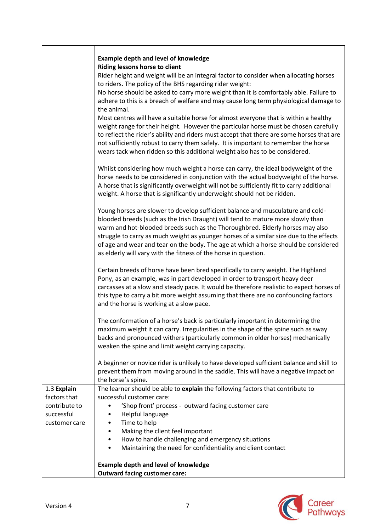|               | <b>Example depth and level of knowledge</b>                                                                                                                                                                                                                                                                                                                                                                                                     |
|---------------|-------------------------------------------------------------------------------------------------------------------------------------------------------------------------------------------------------------------------------------------------------------------------------------------------------------------------------------------------------------------------------------------------------------------------------------------------|
|               | Riding lessons horse to client                                                                                                                                                                                                                                                                                                                                                                                                                  |
|               | Rider height and weight will be an integral factor to consider when allocating horses<br>to riders. The policy of the BHS regarding rider weight:                                                                                                                                                                                                                                                                                               |
|               | No horse should be asked to carry more weight than it is comfortably able. Failure to<br>adhere to this is a breach of welfare and may cause long term physiological damage to                                                                                                                                                                                                                                                                  |
|               | the animal.                                                                                                                                                                                                                                                                                                                                                                                                                                     |
|               | Most centres will have a suitable horse for almost everyone that is within a healthy<br>weight range for their height. However the particular horse must be chosen carefully<br>to reflect the rider's ability and riders must accept that there are some horses that are<br>not sufficiently robust to carry them safely. It is important to remember the horse<br>wears tack when ridden so this additional weight also has to be considered. |
|               | Whilst considering how much weight a horse can carry, the ideal bodyweight of the<br>horse needs to be considered in conjunction with the actual bodyweight of the horse.<br>A horse that is significantly overweight will not be sufficiently fit to carry additional<br>weight. A horse that is significantly underweight should not be ridden.                                                                                               |
|               | Young horses are slower to develop sufficient balance and musculature and cold-<br>blooded breeds (such as the Irish Draught) will tend to mature more slowly than<br>warm and hot-blooded breeds such as the Thoroughbred. Elderly horses may also                                                                                                                                                                                             |
|               | struggle to carry as much weight as younger horses of a similar size due to the effects<br>of age and wear and tear on the body. The age at which a horse should be considered<br>as elderly will vary with the fitness of the horse in question.                                                                                                                                                                                               |
|               | Certain breeds of horse have been bred specifically to carry weight. The Highland<br>Pony, as an example, was in part developed in order to transport heavy deer<br>carcasses at a slow and steady pace. It would be therefore realistic to expect horses of<br>this type to carry a bit more weight assuming that there are no confounding factors<br>and the horse is working at a slow pace.                                                 |
|               | The conformation of a horse's back is particularly important in determining the<br>maximum weight it can carry. Irregularities in the shape of the spine such as sway<br>backs and pronounced withers (particularly common in older horses) mechanically<br>weaken the spine and limit weight carrying capacity.                                                                                                                                |
|               | A beginner or novice rider is unlikely to have developed sufficient balance and skill to<br>prevent them from moving around in the saddle. This will have a negative impact on<br>the horse's spine.                                                                                                                                                                                                                                            |
| 1.3 Explain   | The learner should be able to explain the following factors that contribute to                                                                                                                                                                                                                                                                                                                                                                  |
| factors that  | successful customer care:                                                                                                                                                                                                                                                                                                                                                                                                                       |
| contribute to | 'Shop front' process - outward facing customer care                                                                                                                                                                                                                                                                                                                                                                                             |
| successful    | Helpful language                                                                                                                                                                                                                                                                                                                                                                                                                                |
| customer care | Time to help<br>٠                                                                                                                                                                                                                                                                                                                                                                                                                               |
|               | Making the client feel important<br>٠                                                                                                                                                                                                                                                                                                                                                                                                           |
|               | How to handle challenging and emergency situations<br>$\bullet$                                                                                                                                                                                                                                                                                                                                                                                 |
|               | Maintaining the need for confidentiality and client contact<br>$\bullet$                                                                                                                                                                                                                                                                                                                                                                        |
|               |                                                                                                                                                                                                                                                                                                                                                                                                                                                 |
|               | <b>Example depth and level of knowledge</b>                                                                                                                                                                                                                                                                                                                                                                                                     |
|               | <b>Outward facing customer care:</b>                                                                                                                                                                                                                                                                                                                                                                                                            |

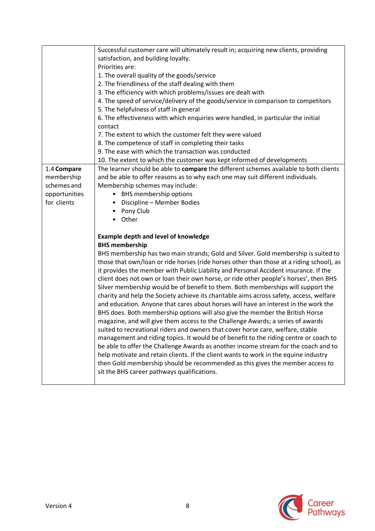|                                                                          | Successful customer care will ultimately result in; acquiring new clients, providing<br>satisfaction, and building loyalty.<br>Priorities are:<br>1. The overall quality of the goods/service<br>2. The friendliness of the staff dealing with them<br>3. The efficiency with which problems/issues are dealt with<br>4. The speed of service/delivery of the goods/service in comparison to competitors<br>5. The helpfulness of staff in general<br>6. The effectiveness with which enquiries were handled, in particular the initial<br>contact<br>7. The extent to which the customer felt they were valued<br>8. The competence of staff in completing their tasks<br>9. The ease with which the transaction was conducted                                                                                                                                                                                                                                                                                                                                                                                                                                                                                                                                                                                                                                              |
|--------------------------------------------------------------------------|------------------------------------------------------------------------------------------------------------------------------------------------------------------------------------------------------------------------------------------------------------------------------------------------------------------------------------------------------------------------------------------------------------------------------------------------------------------------------------------------------------------------------------------------------------------------------------------------------------------------------------------------------------------------------------------------------------------------------------------------------------------------------------------------------------------------------------------------------------------------------------------------------------------------------------------------------------------------------------------------------------------------------------------------------------------------------------------------------------------------------------------------------------------------------------------------------------------------------------------------------------------------------------------------------------------------------------------------------------------------------|
|                                                                          | 10. The extent to which the customer was kept informed of developments                                                                                                                                                                                                                                                                                                                                                                                                                                                                                                                                                                                                                                                                                                                                                                                                                                                                                                                                                                                                                                                                                                                                                                                                                                                                                                       |
| 1.4 Compare<br>membership<br>schemes and<br>opportunities<br>for clients | The learner should be able to compare the different schemes available to both clients<br>and be able to offer reasons as to why each one may suit different individuals.<br>Membership schemes may include:<br><b>BHS</b> membership options<br>$\bullet$<br>Discipline - Member Bodies<br>Pony Club<br>Other                                                                                                                                                                                                                                                                                                                                                                                                                                                                                                                                                                                                                                                                                                                                                                                                                                                                                                                                                                                                                                                                |
|                                                                          | <b>Example depth and level of knowledge</b><br><b>BHS membership</b><br>BHS membership has two main strands; Gold and Silver. Gold membership is suited to<br>those that own/loan or ride horses (ride horses other than those at a riding school), as<br>it provides the member with Public Liability and Personal Accident insurance. If the<br>client does not own or loan their own horse, or ride other people's horses', then BHS<br>Silver membership would be of benefit to them. Both memberships will support the<br>charity and help the Society achieve its charitable aims across safety, access, welfare<br>and education. Anyone that cares about horses will have an interest in the work the<br>BHS does. Both membership options will also give the member the British Horse<br>magazine, and will give them access to the Challenge Awards; a series of awards<br>suited to recreational riders and owners that cover horse care, welfare, stable<br>management and riding topics. It would be of benefit to the riding centre or coach to<br>be able to offer the Challenge Awards as another income stream for the coach and to<br>help motivate and retain clients. If the client wants to work in the equine industry<br>then Gold membership should be recommended as this gives the member access to<br>sit the BHS career pathways qualifications. |

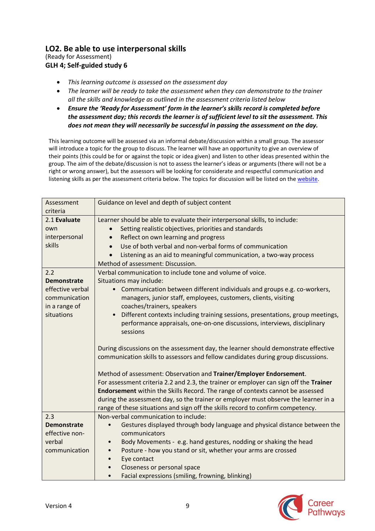## **LO2. Be able to use interpersonal skills**

(Ready for Assessment) **GLH 4; Self-guided study 6**

- *This learning outcome is assessed on the assessment day*
- *The learner will be ready to take the assessment when they can demonstrate to the trainer all the skills and knowledge as outlined in the assessment criteria listed below*
- *Ensure the 'Ready for Assessment' form in the learner's skills record is completed before the assessment day; this records the learner is of sufficient level to sit the assessment. This does not mean they will necessarily be successful in passing the assessment on the day.*

This learning outcome will be assessed via an informal debate/discussion within a small group. The assessor will introduce a topic for the group to discuss. The learner will have an opportunity to give an overview of their points (this could be for or against the topic or idea given) and listen to other ideas presented within the group. The aim of the debate/discussion is not to assess the learner's ideas or arguments (there will not be a right or wrong answer), but the assessors will be looking for considerate and respectful communication and listening skills as per the assessment criteria below. The topics for discussion will be listed on th[e website.](https://pathways.bhs.org.uk/career-pathways/coaching-pathway/senior-eventing-coach/unit-2-stage-4-senior-management/)

| Assessment<br>criteria                                                                        | Guidance on level and depth of subject content                                                                                                                                                                                                                                                                                                                                                                                                                                                                                                                                                                                                                                                                                                                                                                                                                                                                                                                                                                                                                              |
|-----------------------------------------------------------------------------------------------|-----------------------------------------------------------------------------------------------------------------------------------------------------------------------------------------------------------------------------------------------------------------------------------------------------------------------------------------------------------------------------------------------------------------------------------------------------------------------------------------------------------------------------------------------------------------------------------------------------------------------------------------------------------------------------------------------------------------------------------------------------------------------------------------------------------------------------------------------------------------------------------------------------------------------------------------------------------------------------------------------------------------------------------------------------------------------------|
| 2.1 Evaluate<br>own<br>interpersonal<br>skills                                                | Learner should be able to evaluate their interpersonal skills, to include:<br>Setting realistic objectives, priorities and standards<br>Reflect on own learning and progress<br>Use of both verbal and non-verbal forms of communication<br>Listening as an aid to meaningful communication, a two-way process<br>Method of assessment: Discussion.                                                                                                                                                                                                                                                                                                                                                                                                                                                                                                                                                                                                                                                                                                                         |
| 2.2<br><b>Demonstrate</b><br>effective verbal<br>communication<br>in a range of<br>situations | Verbal communication to include tone and volume of voice.<br>Situations may include:<br>Communication between different individuals and groups e.g. co-workers,<br>$\bullet$<br>managers, junior staff, employees, customers, clients, visiting<br>coaches/trainers, speakers<br>Different contexts including training sessions, presentations, group meetings,<br>$\bullet$<br>performance appraisals, one-on-one discussions, interviews, disciplinary<br>sessions<br>During discussions on the assessment day, the learner should demonstrate effective<br>communication skills to assessors and fellow candidates during group discussions.<br>Method of assessment: Observation and Trainer/Employer Endorsement.<br>For assessment criteria 2.2 and 2.3, the trainer or employer can sign off the Trainer<br>Endorsement within the Skills Record. The range of contexts cannot be assessed<br>during the assessment day, so the trainer or employer must observe the learner in a<br>range of these situations and sign off the skills record to confirm competency. |
| 2.3<br><b>Demonstrate</b><br>effective non-<br>verbal<br>communication                        | Non-verbal communication to include:<br>Gestures displayed through body language and physical distance between the<br>$\bullet$<br>communicators<br>Body Movements - e.g. hand gestures, nodding or shaking the head<br>$\bullet$<br>Posture - how you stand or sit, whether your arms are crossed<br>Eye contact<br>Closeness or personal space<br>Facial expressions (smiling, frowning, blinking)<br>$\bullet$                                                                                                                                                                                                                                                                                                                                                                                                                                                                                                                                                                                                                                                           |

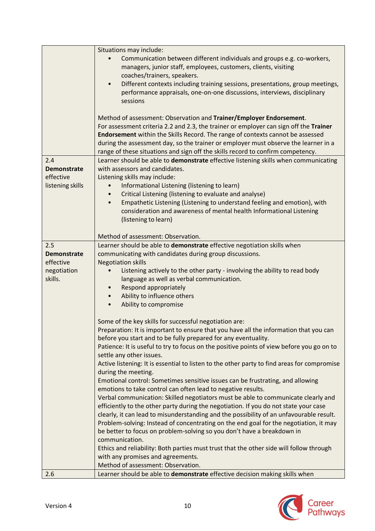|                    | Situations may include:                                                                                                                                                                                                                                                                                                                                                                                                  |
|--------------------|--------------------------------------------------------------------------------------------------------------------------------------------------------------------------------------------------------------------------------------------------------------------------------------------------------------------------------------------------------------------------------------------------------------------------|
|                    | Communication between different individuals and groups e.g. co-workers,<br>managers, junior staff, employees, customers, clients, visiting                                                                                                                                                                                                                                                                               |
|                    | coaches/trainers, speakers.<br>Different contexts including training sessions, presentations, group meetings,<br>$\bullet$<br>performance appraisals, one-on-one discussions, interviews, disciplinary<br>sessions                                                                                                                                                                                                       |
|                    | Method of assessment: Observation and Trainer/Employer Endorsement.<br>For assessment criteria 2.2 and 2.3, the trainer or employer can sign off the Trainer<br>Endorsement within the Skills Record. The range of contexts cannot be assessed<br>during the assessment day, so the trainer or employer must observe the learner in a<br>range of these situations and sign off the skills record to confirm competency. |
| 2.4                | Learner should be able to demonstrate effective listening skills when communicating                                                                                                                                                                                                                                                                                                                                      |
| <b>Demonstrate</b> | with assessors and candidates.                                                                                                                                                                                                                                                                                                                                                                                           |
| effective          | Listening skills may include:                                                                                                                                                                                                                                                                                                                                                                                            |
| listening skills   | Informational Listening (listening to learn)                                                                                                                                                                                                                                                                                                                                                                             |
|                    | Critical Listening (listening to evaluate and analyse)                                                                                                                                                                                                                                                                                                                                                                   |
|                    | Empathetic Listening (Listening to understand feeling and emotion), with                                                                                                                                                                                                                                                                                                                                                 |
|                    | consideration and awareness of mental health Informational Listening                                                                                                                                                                                                                                                                                                                                                     |
|                    | (listening to learn)                                                                                                                                                                                                                                                                                                                                                                                                     |
|                    | Method of assessment: Observation.                                                                                                                                                                                                                                                                                                                                                                                       |
| 2.5                | Learner should be able to demonstrate effective negotiation skills when                                                                                                                                                                                                                                                                                                                                                  |
| <b>Demonstrate</b> | communicating with candidates during group discussions.                                                                                                                                                                                                                                                                                                                                                                  |
| effective          | <b>Negotiation skills</b>                                                                                                                                                                                                                                                                                                                                                                                                |
| negotiation        | Listening actively to the other party - involving the ability to read body                                                                                                                                                                                                                                                                                                                                               |
| skills.            | language as well as verbal communication.                                                                                                                                                                                                                                                                                                                                                                                |
|                    | Respond appropriately<br>$\bullet$                                                                                                                                                                                                                                                                                                                                                                                       |
|                    | Ability to influence others                                                                                                                                                                                                                                                                                                                                                                                              |
|                    | Ability to compromise                                                                                                                                                                                                                                                                                                                                                                                                    |
|                    |                                                                                                                                                                                                                                                                                                                                                                                                                          |
|                    | Some of the key skills for successful negotiation are:                                                                                                                                                                                                                                                                                                                                                                   |
|                    | Preparation: It is important to ensure that you have all the information that you can<br>before you start and to be fully prepared for any eventuality.                                                                                                                                                                                                                                                                  |
|                    | Patience: It is useful to try to focus on the positive points of view before you go on to                                                                                                                                                                                                                                                                                                                                |
|                    | settle any other issues.                                                                                                                                                                                                                                                                                                                                                                                                 |
|                    | Active listening: It is essential to listen to the other party to find areas for compromise<br>during the meeting.                                                                                                                                                                                                                                                                                                       |
|                    | Emotional control: Sometimes sensitive issues can be frustrating, and allowing                                                                                                                                                                                                                                                                                                                                           |
|                    | emotions to take control can often lead to negative results.                                                                                                                                                                                                                                                                                                                                                             |
|                    | Verbal communication: Skilled negotiators must be able to communicate clearly and                                                                                                                                                                                                                                                                                                                                        |
|                    | efficiently to the other party during the negotiation. If you do not state your case                                                                                                                                                                                                                                                                                                                                     |
|                    | clearly, it can lead to misunderstanding and the possibility of an unfavourable result.                                                                                                                                                                                                                                                                                                                                  |
|                    | Problem-solving: Instead of concentrating on the end goal for the negotiation, it may                                                                                                                                                                                                                                                                                                                                    |
|                    | be better to focus on problem-solving so you don't have a breakdown in                                                                                                                                                                                                                                                                                                                                                   |
|                    | communication.                                                                                                                                                                                                                                                                                                                                                                                                           |
|                    | Ethics and reliability: Both parties must trust that the other side will follow through                                                                                                                                                                                                                                                                                                                                  |
|                    | with any promises and agreements.                                                                                                                                                                                                                                                                                                                                                                                        |
|                    | Method of assessment: Observation.                                                                                                                                                                                                                                                                                                                                                                                       |
| 2.6                | Learner should be able to demonstrate effective decision making skills when                                                                                                                                                                                                                                                                                                                                              |

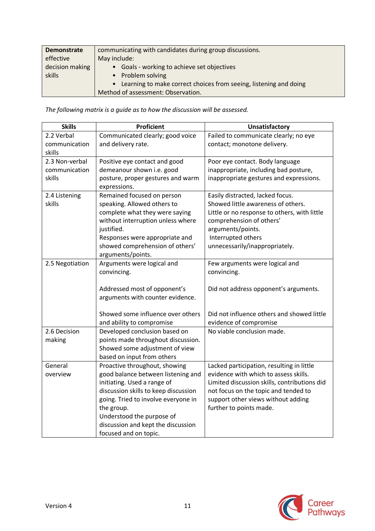| Demonstrate                  | communicating with candidates during group discussions.             |
|------------------------------|---------------------------------------------------------------------|
| effective<br>decision making | May include:<br>• Goals - working to achieve set objectives         |
| skills                       | • Problem solving                                                   |
|                              | • Learning to make correct choices from seeing, listening and doing |
|                              | Method of assessment: Observation.                                  |

*The following matrix is a guide as to how the discussion will be assessed.*

| <b>Skills</b>   | <b>Proficient</b>                    | <b>Unsatisfactory</b>                        |
|-----------------|--------------------------------------|----------------------------------------------|
| 2.2 Verbal      | Communicated clearly; good voice     | Failed to communicate clearly; no eye        |
| communication   | and delivery rate.                   | contact; monotone delivery.                  |
| skills          |                                      |                                              |
| 2.3 Non-verbal  | Positive eye contact and good        | Poor eye contact. Body language              |
| communication   | demeanour shown i.e. good            | inappropriate, including bad posture,        |
| skills          | posture, proper gestures and warm    | inappropriate gestures and expressions.      |
|                 | expressions.                         |                                              |
| 2.4 Listening   | Remained focused on person           | Easily distracted, lacked focus.             |
| skills          | speaking. Allowed others to          | Showed little awareness of others.           |
|                 | complete what they were saying       | Little or no response to others, with little |
|                 | without interruption unless where    | comprehension of others'                     |
|                 | justified.                           | arguments/points.                            |
|                 | Responses were appropriate and       | Interrupted others                           |
|                 | showed comprehension of others'      | unnecessarily/inappropriately.               |
|                 | arguments/points.                    |                                              |
| 2.5 Negotiation | Arguments were logical and           | Few arguments were logical and               |
|                 | convincing.                          | convincing.                                  |
|                 |                                      |                                              |
|                 | Addressed most of opponent's         | Did not address opponent's arguments.        |
|                 | arguments with counter evidence.     |                                              |
|                 |                                      |                                              |
|                 | Showed some influence over others    | Did not influence others and showed little   |
|                 | and ability to compromise            | evidence of compromise                       |
| 2.6 Decision    | Developed conclusion based on        | No viable conclusion made.                   |
| making          | points made throughout discussion.   |                                              |
|                 | Showed some adjustment of view       |                                              |
|                 | based on input from others           |                                              |
| General         | Proactive throughout, showing        | Lacked participation, resulting in little    |
| overview        | good balance between listening and   | evidence with which to assess skills.        |
|                 | initiating. Used a range of          | Limited discussion skills, contributions did |
|                 | discussion skills to keep discussion | not focus on the topic and tended to         |
|                 | going. Tried to involve everyone in  | support other views without adding           |
|                 | the group.                           | further to points made.                      |
|                 | Understood the purpose of            |                                              |
|                 | discussion and kept the discussion   |                                              |
|                 | focused and on topic.                |                                              |

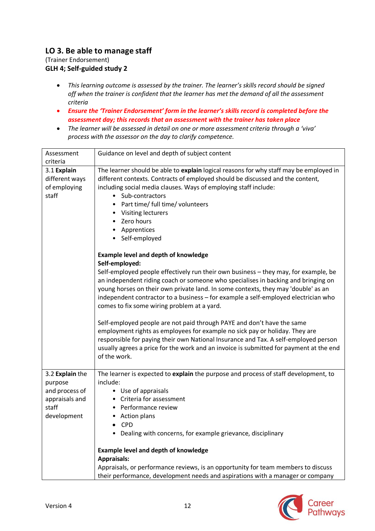## **LO 3. Be able to manage staff**

(Trainer Endorsement) **GLH 4; Self-guided study 2**

- *This learning outcome is assessed by the trainer. The learner's skills record should be signed off when the trainer is confident that the learner has met the demand of all the assessment criteria*
- *Ensure the 'Trainer Endorsement' form in the learner's skills record is completed before the assessment day; this records that an assessment with the trainer has taken place*
- *The learner will be assessed in detail on one or more assessment criteria through a 'viva' process with the assessor on the day to clarify competence.*

| Assessment                                             | Guidance on level and depth of subject content                                                                                                                                                                                                                                                                                                                                                                       |
|--------------------------------------------------------|----------------------------------------------------------------------------------------------------------------------------------------------------------------------------------------------------------------------------------------------------------------------------------------------------------------------------------------------------------------------------------------------------------------------|
| criteria                                               |                                                                                                                                                                                                                                                                                                                                                                                                                      |
| 3.1 Explain<br>different ways<br>of employing<br>staff | The learner should be able to explain logical reasons for why staff may be employed in<br>different contexts. Contracts of employed should be discussed and the content,<br>including social media clauses. Ways of employing staff include:<br>• Sub-contractors<br>Part time/ full time/ volunteers<br>• Visiting lecturers                                                                                        |
|                                                        | Zero hours<br>• Apprentices<br>• Self-employed                                                                                                                                                                                                                                                                                                                                                                       |
|                                                        | <b>Example level and depth of knowledge</b>                                                                                                                                                                                                                                                                                                                                                                          |
|                                                        | Self-employed:<br>Self-employed people effectively run their own business - they may, for example, be<br>an independent riding coach or someone who specialises in backing and bringing on<br>young horses on their own private land. In some contexts, they may 'double' as an<br>independent contractor to a business - for example a self-employed electrician who<br>comes to fix some wiring problem at a yard. |
|                                                        | Self-employed people are not paid through PAYE and don't have the same<br>employment rights as employees for example no sick pay or holiday. They are<br>responsible for paying their own National Insurance and Tax. A self-employed person<br>usually agrees a price for the work and an invoice is submitted for payment at the end<br>of the work.                                                               |
| 3.2 Explain the<br>purpose<br>and process of           | The learner is expected to explain the purpose and process of staff development, to<br>include:<br>• Use of appraisals                                                                                                                                                                                                                                                                                               |
| appraisals and<br>staff<br>development                 | • Criteria for assessment<br>• Performance review<br><b>Action plans</b>                                                                                                                                                                                                                                                                                                                                             |
|                                                        | <b>CPD</b><br>Dealing with concerns, for example grievance, disciplinary                                                                                                                                                                                                                                                                                                                                             |
|                                                        | Example level and depth of knowledge                                                                                                                                                                                                                                                                                                                                                                                 |
|                                                        | <b>Appraisals:</b><br>Appraisals, or performance reviews, is an opportunity for team members to discuss                                                                                                                                                                                                                                                                                                              |
|                                                        | their performance, development needs and aspirations with a manager or company                                                                                                                                                                                                                                                                                                                                       |

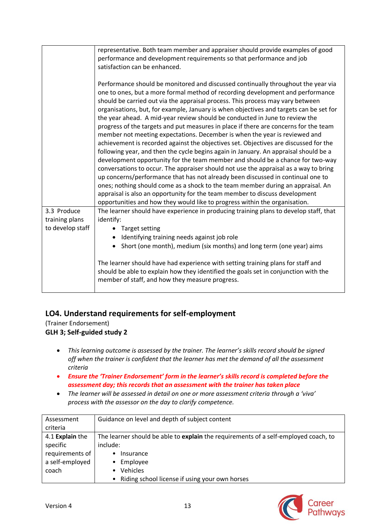|                                                   | representative. Both team member and appraiser should provide examples of good<br>performance and development requirements so that performance and job<br>satisfaction can be enhanced.                                                                                                                                                                                                                                                                                                                                                                                                                                                                                                                                                                                                                                                                                                                                                                                                                                                                                                                                                                                                                                                                                                           |
|---------------------------------------------------|---------------------------------------------------------------------------------------------------------------------------------------------------------------------------------------------------------------------------------------------------------------------------------------------------------------------------------------------------------------------------------------------------------------------------------------------------------------------------------------------------------------------------------------------------------------------------------------------------------------------------------------------------------------------------------------------------------------------------------------------------------------------------------------------------------------------------------------------------------------------------------------------------------------------------------------------------------------------------------------------------------------------------------------------------------------------------------------------------------------------------------------------------------------------------------------------------------------------------------------------------------------------------------------------------|
|                                                   | Performance should be monitored and discussed continually throughout the year via<br>one to ones, but a more formal method of recording development and performance<br>should be carried out via the appraisal process. This process may vary between<br>organisations, but, for example, January is when objectives and targets can be set for<br>the year ahead. A mid-year review should be conducted in June to review the<br>progress of the targets and put measures in place if there are concerns for the team<br>member not meeting expectations. December is when the year is reviewed and<br>achievement is recorded against the objectives set. Objectives are discussed for the<br>following year, and then the cycle begins again in January. An appraisal should be a<br>development opportunity for the team member and should be a chance for two-way<br>conversations to occur. The appraiser should not use the appraisal as a way to bring<br>up concerns/performance that has not already been discussed in continual one to<br>ones; nothing should come as a shock to the team member during an appraisal. An<br>appraisal is also an opportunity for the team member to discuss development<br>opportunities and how they would like to progress within the organisation. |
| 3.3 Produce<br>training plans<br>to develop staff | The learner should have experience in producing training plans to develop staff, that<br>identify:<br>• Target setting                                                                                                                                                                                                                                                                                                                                                                                                                                                                                                                                                                                                                                                                                                                                                                                                                                                                                                                                                                                                                                                                                                                                                                            |
|                                                   | Identifying training needs against job role<br>$\bullet$<br>Short (one month), medium (six months) and long term (one year) aims                                                                                                                                                                                                                                                                                                                                                                                                                                                                                                                                                                                                                                                                                                                                                                                                                                                                                                                                                                                                                                                                                                                                                                  |
|                                                   | The learner should have had experience with setting training plans for staff and<br>should be able to explain how they identified the goals set in conjunction with the<br>member of staff, and how they measure progress.                                                                                                                                                                                                                                                                                                                                                                                                                                                                                                                                                                                                                                                                                                                                                                                                                                                                                                                                                                                                                                                                        |

## **LO4. Understand requirements for self-employment**

(Trainer Endorsement) **GLH 3; Self-guided study 2**

- *This learning outcome is assessed by the trainer. The learner's skills record should be signed off when the trainer is confident that the learner has met the demand of all the assessment criteria*
- *Ensure the 'Trainer Endorsement' form in the learner's skills record is completed before the assessment day; this records that an assessment with the trainer has taken place*
- *The learner will be assessed in detail on one or more assessment criteria through a 'viva' process with the assessor on the day to clarify competence.*

| Assessment      | Guidance on level and depth of subject content                                      |
|-----------------|-------------------------------------------------------------------------------------|
| criteria        |                                                                                     |
| 4.1 Explain the | The learner should be able to explain the requirements of a self-employed coach, to |
| specific        | include:                                                                            |
| requirements of | Insurance<br>٠                                                                      |
| a self-employed | Employee<br>$\bullet$                                                               |
| coach           | Vehicles<br>$\bullet$                                                               |
|                 | Riding school license if using your own horses<br>$\bullet$                         |

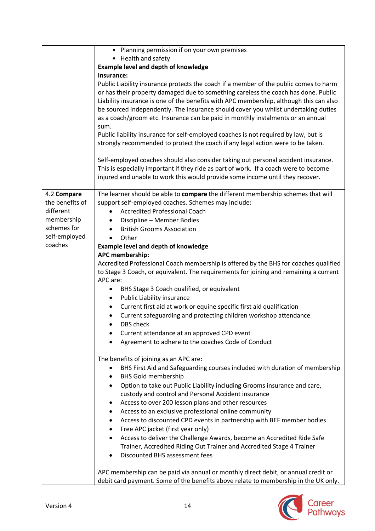|                                | • Planning permission if on your own premises                                                                                                                                                                                                                                                                                                                                                                                                          |
|--------------------------------|--------------------------------------------------------------------------------------------------------------------------------------------------------------------------------------------------------------------------------------------------------------------------------------------------------------------------------------------------------------------------------------------------------------------------------------------------------|
|                                | • Health and safety                                                                                                                                                                                                                                                                                                                                                                                                                                    |
|                                | <b>Example level and depth of knowledge</b>                                                                                                                                                                                                                                                                                                                                                                                                            |
|                                | Insurance:                                                                                                                                                                                                                                                                                                                                                                                                                                             |
|                                | Public Liability insurance protects the coach if a member of the public comes to harm<br>or has their property damaged due to something careless the coach has done. Public<br>Liability insurance is one of the benefits with APC membership, although this can also<br>be sourced independently. The insurance should cover you whilst undertaking duties<br>as a coach/groom etc. Insurance can be paid in monthly instalments or an annual<br>sum. |
|                                | Public liability insurance for self-employed coaches is not required by law, but is<br>strongly recommended to protect the coach if any legal action were to be taken.                                                                                                                                                                                                                                                                                 |
|                                | Self-employed coaches should also consider taking out personal accident insurance.<br>This is especially important if they ride as part of work. If a coach were to become<br>injured and unable to work this would provide some income until they recover.                                                                                                                                                                                            |
| 4.2 Compare<br>the benefits of | The learner should be able to compare the different membership schemes that will<br>support self-employed coaches. Schemes may include:                                                                                                                                                                                                                                                                                                                |
| different                      | <b>Accredited Professional Coach</b>                                                                                                                                                                                                                                                                                                                                                                                                                   |
| membership                     | Discipline - Member Bodies                                                                                                                                                                                                                                                                                                                                                                                                                             |
| schemes for                    | <b>British Grooms Association</b>                                                                                                                                                                                                                                                                                                                                                                                                                      |
| self-employed                  | Other                                                                                                                                                                                                                                                                                                                                                                                                                                                  |
| coaches                        | <b>Example level and depth of knowledge</b>                                                                                                                                                                                                                                                                                                                                                                                                            |
|                                | APC membership:                                                                                                                                                                                                                                                                                                                                                                                                                                        |
|                                | Accredited Professional Coach membership is offered by the BHS for coaches qualified                                                                                                                                                                                                                                                                                                                                                                   |
|                                | to Stage 3 Coach, or equivalent. The requirements for joining and remaining a current<br>APC are:                                                                                                                                                                                                                                                                                                                                                      |
|                                | BHS Stage 3 Coach qualified, or equivalent                                                                                                                                                                                                                                                                                                                                                                                                             |
|                                | Public Liability insurance                                                                                                                                                                                                                                                                                                                                                                                                                             |
|                                | Current first aid at work or equine specific first aid qualification<br>$\bullet$                                                                                                                                                                                                                                                                                                                                                                      |
|                                | Current safeguarding and protecting children workshop attendance                                                                                                                                                                                                                                                                                                                                                                                       |
|                                | <b>DBS</b> check                                                                                                                                                                                                                                                                                                                                                                                                                                       |
|                                | Current attendance at an approved CPD event                                                                                                                                                                                                                                                                                                                                                                                                            |
|                                | Agreement to adhere to the coaches Code of Conduct                                                                                                                                                                                                                                                                                                                                                                                                     |
|                                |                                                                                                                                                                                                                                                                                                                                                                                                                                                        |
|                                | The benefits of joining as an APC are:                                                                                                                                                                                                                                                                                                                                                                                                                 |
|                                | BHS First Aid and Safeguarding courses included with duration of membership                                                                                                                                                                                                                                                                                                                                                                            |
|                                | <b>BHS Gold membership</b>                                                                                                                                                                                                                                                                                                                                                                                                                             |
|                                | Option to take out Public Liability including Grooms insurance and care,                                                                                                                                                                                                                                                                                                                                                                               |
|                                | custody and control and Personal Accident insurance                                                                                                                                                                                                                                                                                                                                                                                                    |
|                                | Access to over 200 lesson plans and other resources                                                                                                                                                                                                                                                                                                                                                                                                    |
|                                | Access to an exclusive professional online community                                                                                                                                                                                                                                                                                                                                                                                                   |
|                                | Access to discounted CPD events in partnership with BEF member bodies<br>Free APC jacket (first year only)                                                                                                                                                                                                                                                                                                                                             |
|                                | Access to deliver the Challenge Awards, become an Accredited Ride Safe                                                                                                                                                                                                                                                                                                                                                                                 |
|                                | Trainer, Accredited Riding Out Trainer and Accredited Stage 4 Trainer                                                                                                                                                                                                                                                                                                                                                                                  |
|                                | Discounted BHS assessment fees                                                                                                                                                                                                                                                                                                                                                                                                                         |
|                                |                                                                                                                                                                                                                                                                                                                                                                                                                                                        |
|                                | APC membership can be paid via annual or monthly direct debit, or annual credit or<br>debit card payment. Some of the benefits above relate to membership in the UK only.                                                                                                                                                                                                                                                                              |

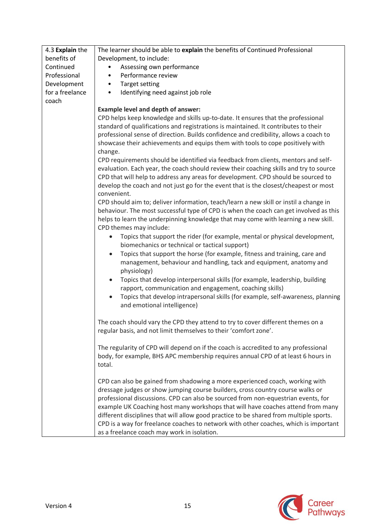| 4.3 Explain the | The learner should be able to explain the benefits of Continued Professional                 |
|-----------------|----------------------------------------------------------------------------------------------|
| benefits of     | Development, to include:                                                                     |
| Continued       | Assessing own performance                                                                    |
| Professional    | Performance review                                                                           |
| Development     | <b>Target setting</b><br>٠                                                                   |
| for a freelance | Identifying need against job role<br>$\bullet$                                               |
| coach           |                                                                                              |
|                 | <b>Example level and depth of answer:</b>                                                    |
|                 | CPD helps keep knowledge and skills up-to-date. It ensures that the professional             |
|                 | standard of qualifications and registrations is maintained. It contributes to their          |
|                 | professional sense of direction. Builds confidence and credibility, allows a coach to        |
|                 | showcase their achievements and equips them with tools to cope positively with               |
|                 | change.                                                                                      |
|                 | CPD requirements should be identified via feedback from clients, mentors and self-           |
|                 | evaluation. Each year, the coach should review their coaching skills and try to source       |
|                 | CPD that will help to address any areas for development. CPD should be sourced to            |
|                 | develop the coach and not just go for the event that is the closest/cheapest or most         |
|                 | convenient.                                                                                  |
|                 | CPD should aim to; deliver information, teach/learn a new skill or instil a change in        |
|                 | behaviour. The most successful type of CPD is when the coach can get involved as this        |
|                 | helps to learn the underpinning knowledge that may come with learning a new skill.           |
|                 | CPD themes may include:                                                                      |
|                 | Topics that support the rider (for example, mental or physical development,                  |
|                 | biomechanics or technical or tactical support)                                               |
|                 | Topics that support the horse (for example, fitness and training, care and<br>$\bullet$      |
|                 | management, behaviour and handling, tack and equipment, anatomy and                          |
|                 | physiology)                                                                                  |
|                 | Topics that develop interpersonal skills (for example, leadership, building                  |
|                 | rapport, communication and engagement, coaching skills)                                      |
|                 | Topics that develop intrapersonal skills (for example, self-awareness, planning<br>$\bullet$ |
|                 | and emotional intelligence)                                                                  |
|                 |                                                                                              |
|                 | The coach should vary the CPD they attend to try to cover different themes on a              |
|                 | regular basis, and not limit themselves to their 'comfort zone'.                             |
|                 |                                                                                              |
|                 | The regularity of CPD will depend on if the coach is accredited to any professional          |
|                 | body, for example, BHS APC membership requires annual CPD of at least 6 hours in             |
|                 | total.                                                                                       |
|                 |                                                                                              |
|                 | CPD can also be gained from shadowing a more experienced coach, working with                 |
|                 | dressage judges or show jumping course builders, cross country course walks or               |
|                 | professional discussions. CPD can also be sourced from non-equestrian events, for            |
|                 | example UK Coaching host many workshops that will have coaches attend from many              |
|                 | different disciplines that will allow good practice to be shared from multiple sports.       |
|                 | CPD is a way for freelance coaches to network with other coaches, which is important         |
|                 | as a freelance coach may work in isolation.                                                  |

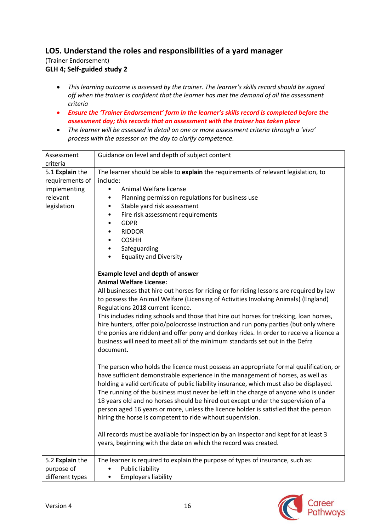## **LO5. Understand the roles and responsibilities of a yard manager**

(Trainer Endorsement) **GLH 4; Self-guided study 2**

- *This learning outcome is assessed by the trainer. The learner's skills record should be signed off when the trainer is confident that the learner has met the demand of all the assessment criteria*
- *Ensure the 'Trainer Endorsement' form in the learner's skills record is completed before the assessment day; this records that an assessment with the trainer has taken place*
- *The learner will be assessed in detail on one or more assessment criteria through a 'viva' process with the assessor on the day to clarify competence.*

| Assessment<br>criteria                                                        | Guidance on level and depth of subject content                                                                                                                                                                                                                                                                                                                                                                                                                                                                                                                                                                                                                               |
|-------------------------------------------------------------------------------|------------------------------------------------------------------------------------------------------------------------------------------------------------------------------------------------------------------------------------------------------------------------------------------------------------------------------------------------------------------------------------------------------------------------------------------------------------------------------------------------------------------------------------------------------------------------------------------------------------------------------------------------------------------------------|
| 5.1 Explain the<br>requirements of<br>implementing<br>relevant<br>legislation | The learner should be able to explain the requirements of relevant legislation, to<br>include:<br>Animal Welfare license<br>$\bullet$<br>Planning permission regulations for business use<br>$\bullet$<br>Stable yard risk assessment<br>$\bullet$<br>Fire risk assessment requirements<br>٠<br><b>GDPR</b><br>$\bullet$<br><b>RIDDOR</b><br>٠<br><b>COSHH</b><br>$\bullet$<br>Safeguarding<br>$\bullet$<br><b>Equality and Diversity</b><br>$\bullet$                                                                                                                                                                                                                       |
|                                                                               | <b>Example level and depth of answer</b><br><b>Animal Welfare License:</b><br>All businesses that hire out horses for riding or for riding lessons are required by law<br>to possess the Animal Welfare (Licensing of Activities Involving Animals) (England)<br>Regulations 2018 current licence.<br>This includes riding schools and those that hire out horses for trekking, loan horses,<br>hire hunters, offer polo/polocrosse instruction and run pony parties (but only where<br>the ponies are ridden) and offer pony and donkey rides. In order to receive a licence a<br>business will need to meet all of the minimum standards set out in the Defra<br>document. |
|                                                                               | The person who holds the licence must possess an appropriate formal qualification, or<br>have sufficient demonstrable experience in the management of horses, as well as<br>holding a valid certificate of public liability insurance, which must also be displayed.<br>The running of the business must never be left in the charge of anyone who is under<br>18 years old and no horses should be hired out except under the supervision of a<br>person aged 16 years or more, unless the licence holder is satisfied that the person<br>hiring the horse is competent to ride without supervision.                                                                        |
|                                                                               | All records must be available for inspection by an inspector and kept for at least 3<br>years, beginning with the date on which the record was created.                                                                                                                                                                                                                                                                                                                                                                                                                                                                                                                      |
| 5.2 Explain the<br>purpose of<br>different types                              | The learner is required to explain the purpose of types of insurance, such as:<br>Public liability<br>$\bullet$<br><b>Employers liability</b>                                                                                                                                                                                                                                                                                                                                                                                                                                                                                                                                |

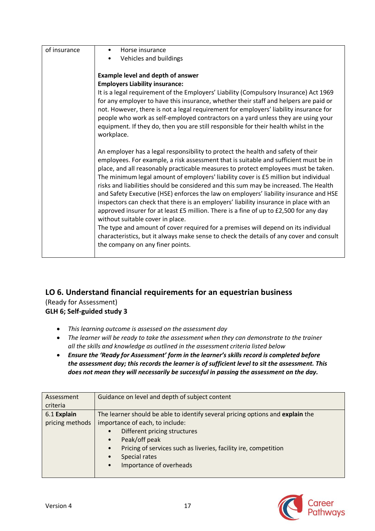| of insurance | Horse insurance                                                                         |
|--------------|-----------------------------------------------------------------------------------------|
|              | Vehicles and buildings                                                                  |
|              |                                                                                         |
|              | <b>Example level and depth of answer</b>                                                |
|              | <b>Employers Liability insurance:</b>                                                   |
|              |                                                                                         |
|              | It is a legal requirement of the Employers' Liability (Compulsory Insurance) Act 1969   |
|              | for any employer to have this insurance, whether their staff and helpers are paid or    |
|              | not. However, there is not a legal requirement for employers' liability insurance for   |
|              | people who work as self-employed contractors on a yard unless they are using your       |
|              | equipment. If they do, then you are still responsible for their health whilst in the    |
|              |                                                                                         |
|              | workplace.                                                                              |
|              |                                                                                         |
|              | An employer has a legal responsibility to protect the health and safety of their        |
|              | employees. For example, a risk assessment that is suitable and sufficient must be in    |
|              | place, and all reasonably practicable measures to protect employees must be taken.      |
|              | The minimum legal amount of employers' liability cover is £5 million but individual     |
|              |                                                                                         |
|              | risks and liabilities should be considered and this sum may be increased. The Health    |
|              | and Safety Executive (HSE) enforces the law on employers' liability insurance and HSE   |
|              | inspectors can check that there is an employers' liability insurance in place with an   |
|              | approved insurer for at least £5 million. There is a fine of up to £2,500 for any day   |
|              | without suitable cover in place.                                                        |
|              |                                                                                         |
|              | The type and amount of cover required for a premises will depend on its individual      |
|              | characteristics, but it always make sense to check the details of any cover and consult |
|              | the company on any finer points.                                                        |
|              |                                                                                         |

## **LO 6. Understand financial requirements for an equestrian business**

(Ready for Assessment) **GLH 6; Self-guided study 3**

- *This learning outcome is assessed on the assessment day*
- *The learner will be ready to take the assessment when they can demonstrate to the trainer all the skills and knowledge as outlined in the assessment criteria listed below*
- *Ensure the 'Ready for Assessment' form in the learner's skills record is completed before the assessment day; this records the learner is of sufficient level to sit the assessment. This does not mean they will necessarily be successful in passing the assessment on the day.*

| Assessment      | Guidance on level and depth of subject content                                 |
|-----------------|--------------------------------------------------------------------------------|
| criteria        |                                                                                |
| 6.1 Explain     | The learner should be able to identify several pricing options and explain the |
| pricing methods | importance of each, to include:                                                |
|                 | Different pricing structures<br>$\bullet$                                      |
|                 | Peak/off peak<br>$\bullet$                                                     |
|                 | Pricing of services such as liveries, facility ire, competition<br>$\bullet$   |
|                 | Special rates<br>$\bullet$                                                     |
|                 | Importance of overheads<br>$\bullet$                                           |
|                 |                                                                                |

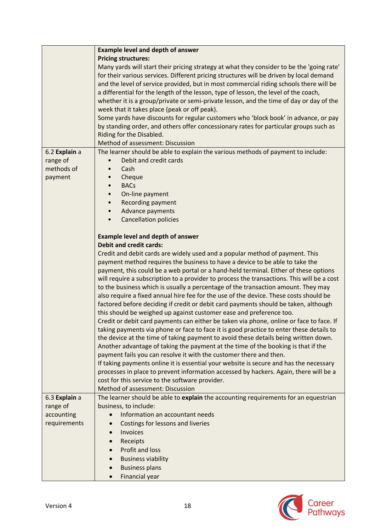|               | <b>Example level and depth of answer</b>                                                   |
|---------------|--------------------------------------------------------------------------------------------|
|               | <b>Pricing structures:</b>                                                                 |
|               | Many yards will start their pricing strategy at what they consider to be the 'going rate'  |
|               | for their various services. Different pricing structures will be driven by local demand    |
|               | and the level of service provided, but in most commercial riding schools there will be     |
|               | a differential for the length of the lesson, type of lesson, the level of the coach,       |
|               | whether it is a group/private or semi-private lesson, and the time of day or day of the    |
|               | week that it takes place (peak or off peak).                                               |
|               | Some yards have discounts for regular customers who 'block book' in advance, or pay        |
|               | by standing order, and others offer concessionary rates for particular groups such as      |
|               | Riding for the Disabled.                                                                   |
|               | Method of assessment: Discussion                                                           |
| 6.2 Explain a | The learner should be able to explain the various methods of payment to include:           |
| range of      | Debit and credit cards<br>$\bullet$                                                        |
| methods of    | Cash                                                                                       |
| payment       | Cheque                                                                                     |
|               | <b>BACs</b>                                                                                |
|               | On-line payment                                                                            |
|               | Recording payment                                                                          |
|               | Advance payments                                                                           |
|               | <b>Cancellation policies</b>                                                               |
|               |                                                                                            |
|               | <b>Example level and depth of answer</b>                                                   |
|               | <b>Debit and credit cards:</b>                                                             |
|               | Credit and debit cards are widely used and a popular method of payment. This               |
|               | payment method requires the business to have a device to be able to take the               |
|               | payment, this could be a web portal or a hand-held terminal. Either of these options       |
|               | will require a subscription to a provider to process the transactions. This will be a cost |
|               | to the business which is usually a percentage of the transaction amount. They may          |
|               | also require a fixed annual hire fee for the use of the device. These costs should be      |
|               | factored before deciding if credit or debit card payments should be taken, although        |
|               | this should be weighed up against customer ease and preference too.                        |
|               | Credit or debit card payments can either be taken via phone, online or face to face. If    |
|               | taking payments via phone or face to face it is good practice to enter these details to    |
|               | the device at the time of taking payment to avoid these details being written down.        |
|               | Another advantage of taking the payment at the time of the booking is that if the          |
|               | payment fails you can resolve it with the customer there and then.                         |
|               | If taking payments online it is essential your website is secure and has the necessary     |
|               | processes in place to prevent information accessed by hackers. Again, there will be a      |
|               | cost for this service to the software provider.                                            |
|               | Method of assessment: Discussion                                                           |
| 6.3 Explain a | The learner should be able to explain the accounting requirements for an equestrian        |
| range of      | business, to include:                                                                      |
| accounting    | Information an accountant needs                                                            |
| requirements  | Costings for lessons and liveries                                                          |
|               | <b>Invoices</b><br>$\bullet$                                                               |
|               | Receipts<br>$\bullet$                                                                      |
|               | Profit and loss<br>$\bullet$                                                               |
|               | <b>Business viability</b><br>$\bullet$                                                     |
|               | <b>Business plans</b><br>$\bullet$                                                         |
|               | Financial year<br>$\bullet$                                                                |

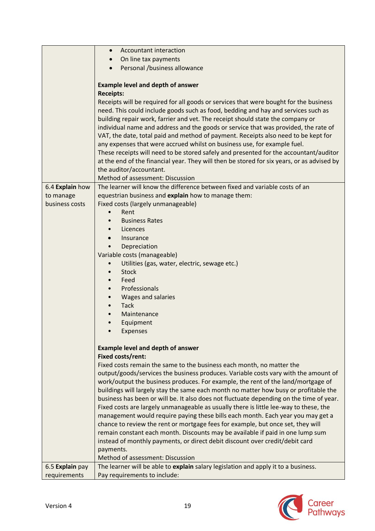|                 | Accountant interaction<br>$\bullet$                                                        |
|-----------------|--------------------------------------------------------------------------------------------|
|                 | On line tax payments<br>$\bullet$                                                          |
|                 | Personal /business allowance                                                               |
|                 |                                                                                            |
|                 | <b>Example level and depth of answer</b>                                                   |
|                 | <b>Receipts:</b>                                                                           |
|                 | Receipts will be required for all goods or services that were bought for the business      |
|                 | need. This could include goods such as food, bedding and hay and services such as          |
|                 | building repair work, farrier and vet. The receipt should state the company or             |
|                 | individual name and address and the goods or service that was provided, the rate of        |
|                 | VAT, the date, total paid and method of payment. Receipts also need to be kept for         |
|                 | any expenses that were accrued whilst on business use, for example fuel.                   |
|                 | These receipts will need to be stored safely and presented for the accountant/auditor      |
|                 | at the end of the financial year. They will then be stored for six years, or as advised by |
|                 | the auditor/accountant.                                                                    |
|                 | Method of assessment: Discussion                                                           |
| 6.4 Explain how | The learner will know the difference between fixed and variable costs of an                |
| to manage       | equestrian business and explain how to manage them:                                        |
| business costs  | Fixed costs (largely unmanageable)                                                         |
|                 | Rent                                                                                       |
|                 | <b>Business Rates</b>                                                                      |
|                 | Licences                                                                                   |
|                 | Insurance                                                                                  |
|                 | Depreciation                                                                               |
|                 | Variable costs (manageable)                                                                |
|                 | Utilities (gas, water, electric, sewage etc.)                                              |
|                 | <b>Stock</b><br>Feed                                                                       |
|                 | Professionals                                                                              |
|                 | Wages and salaries                                                                         |
|                 | <b>Tack</b>                                                                                |
|                 | Maintenance                                                                                |
|                 | Equipment                                                                                  |
|                 | Expenses                                                                                   |
|                 |                                                                                            |
|                 | <b>Example level and depth of answer</b>                                                   |
|                 | Fixed costs/rent:                                                                          |
|                 | Fixed costs remain the same to the business each month, no matter the                      |
|                 | output/goods/services the business produces. Variable costs vary with the amount of        |
|                 | work/output the business produces. For example, the rent of the land/mortgage of           |
|                 | buildings will largely stay the same each month no matter how busy or profitable the       |
|                 | business has been or will be. It also does not fluctuate depending on the time of year.    |
|                 | Fixed costs are largely unmanageable as usually there is little lee-way to these, the      |
|                 | management would require paying these bills each month. Each year you may get a            |
|                 | chance to review the rent or mortgage fees for example, but once set, they will            |
|                 | remain constant each month. Discounts may be available if paid in one lump sum             |
|                 | instead of monthly payments, or direct debit discount over credit/debit card               |
|                 | payments.                                                                                  |
|                 | Method of assessment: Discussion                                                           |
| 6.5 Explain pay | The learner will be able to explain salary legislation and apply it to a business.         |
| requirements    | Pay requirements to include:                                                               |

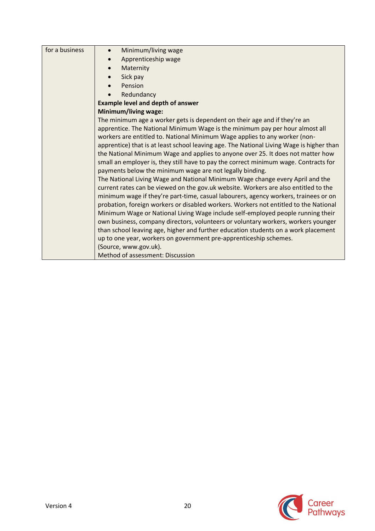| Minimum/living wage<br>$\bullet$                                                         |
|------------------------------------------------------------------------------------------|
| Apprenticeship wage                                                                      |
| Maternity                                                                                |
| Sick pay                                                                                 |
| Pension                                                                                  |
| Redundancy                                                                               |
| <b>Example level and depth of answer</b>                                                 |
|                                                                                          |
| <b>Minimum/living wage:</b>                                                              |
| The minimum age a worker gets is dependent on their age and if they're an                |
| apprentice. The National Minimum Wage is the minimum pay per hour almost all             |
| workers are entitled to. National Minimum Wage applies to any worker (non-               |
| apprentice) that is at least school leaving age. The National Living Wage is higher than |
| the National Minimum Wage and applies to anyone over 25. It does not matter how          |
| small an employer is, they still have to pay the correct minimum wage. Contracts for     |
| payments below the minimum wage are not legally binding.                                 |
| The National Living Wage and National Minimum Wage change every April and the            |
| current rates can be viewed on the gov.uk website. Workers are also entitled to the      |
| minimum wage if they're part-time, casual labourers, agency workers, trainees or on      |
| probation, foreign workers or disabled workers. Workers not entitled to the National     |
| Minimum Wage or National Living Wage include self-employed people running their          |
| own business, company directors, volunteers or voluntary workers, workers younger        |
| than school leaving age, higher and further education students on a work placement       |
| up to one year, workers on government pre-apprenticeship schemes.                        |
| (Source, www.gov.uk).                                                                    |
| Method of assessment: Discussion                                                         |
|                                                                                          |

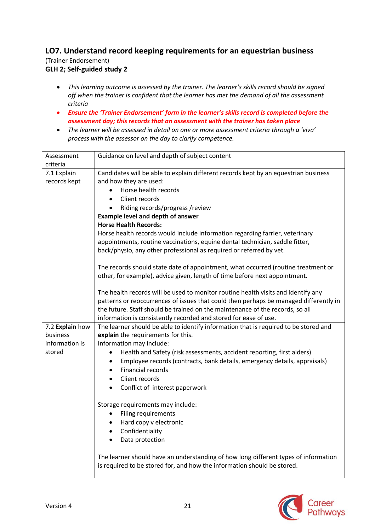## **LO7. Understand record keeping requirements for an equestrian business** (Trainer Endorsement) **GLH 2; Self-guided study 2**

- *This learning outcome is assessed by the trainer. The learner's skills record should be signed off when the trainer is confident that the learner has met the demand of all the assessment criteria*
- *Ensure the 'Trainer Endorsement' form in the learner's skills record is completed before the assessment day; this records that an assessment with the trainer has taken place*
- *The learner will be assessed in detail on one or more assessment criteria through a 'viva' process with the assessor on the day to clarify competence.*

| Assessment      | Guidance on level and depth of subject content                                        |
|-----------------|---------------------------------------------------------------------------------------|
| criteria        |                                                                                       |
| 7.1 Explain     | Candidates will be able to explain different records kept by an equestrian business   |
| records kept    | and how they are used:                                                                |
|                 | Horse health records                                                                  |
|                 | Client records                                                                        |
|                 | Riding records/progress/review                                                        |
|                 | <b>Example level and depth of answer</b>                                              |
|                 | <b>Horse Health Records:</b>                                                          |
|                 | Horse health records would include information regarding farrier, veterinary          |
|                 | appointments, routine vaccinations, equine dental technician, saddle fitter,          |
|                 | back/physio, any other professional as required or referred by vet.                   |
|                 |                                                                                       |
|                 | The records should state date of appointment, what occurred (routine treatment or     |
|                 | other, for example), advice given, length of time before next appointment.            |
|                 |                                                                                       |
|                 | The health records will be used to monitor routine health visits and identify any     |
|                 | patterns or reoccurrences of issues that could then perhaps be managed differently in |
|                 | the future. Staff should be trained on the maintenance of the records, so all         |
|                 | information is consistently recorded and stored for ease of use.                      |
| 7.2 Explain how | The learner should be able to identify information that is required to be stored and  |
| business        | explain the requirements for this.                                                    |
| information is  | Information may include:                                                              |
| stored          | Health and Safety (risk assessments, accident reporting, first aiders)                |
|                 | Employee records (contracts, bank details, emergency details, appraisals)             |
|                 | <b>Financial records</b>                                                              |
|                 | Client records                                                                        |
|                 | Conflict of interest paperwork                                                        |
|                 |                                                                                       |
|                 | Storage requirements may include:                                                     |
|                 | Filing requirements<br>$\bullet$                                                      |
|                 | Hard copy v electronic                                                                |
|                 | Confidentiality<br>$\bullet$                                                          |
|                 | Data protection<br>$\bullet$                                                          |
|                 |                                                                                       |
|                 | The learner should have an understanding of how long different types of information   |
|                 | is required to be stored for, and how the information should be stored.               |
|                 |                                                                                       |

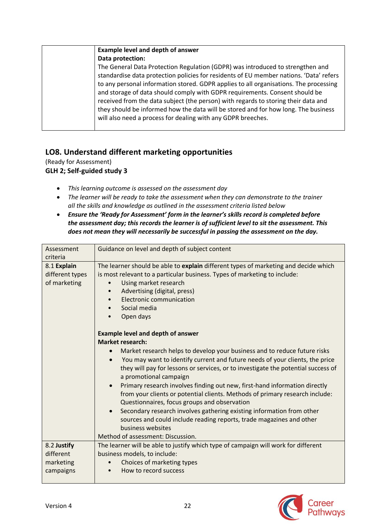| <b>Example level and depth of answer</b>                                               |
|----------------------------------------------------------------------------------------|
| Data protection:                                                                       |
| The General Data Protection Regulation (GDPR) was introduced to strengthen and         |
| standardise data protection policies for residents of EU member nations. 'Data' refers |
| to any personal information stored. GDPR applies to all organisations. The processing  |
| and storage of data should comply with GDPR requirements. Consent should be            |
| received from the data subject (the person) with regards to storing their data and     |
| they should be informed how the data will be stored and for how long. The business     |
| will also need a process for dealing with any GDPR breeches.                           |
|                                                                                        |

## **LO8. Understand different marketing opportunities**

(Ready for Assessment)

**GLH 2; Self-guided study 3**

- *This learning outcome is assessed on the assessment day*
- *The learner will be ready to take the assessment when they can demonstrate to the trainer all the skills and knowledge as outlined in the assessment criteria listed below*
- *Ensure the 'Ready for Assessment' form in the learner's skills record is completed before the assessment day; this records the learner is of sufficient level to sit the assessment. This does not mean they will necessarily be successful in passing the assessment on the day.*

| Assessment                                     | Guidance on level and depth of subject content                                                                                                                                                                                                                                                                                                                                                                                                                                                                                                                                                                                                                                                                 |
|------------------------------------------------|----------------------------------------------------------------------------------------------------------------------------------------------------------------------------------------------------------------------------------------------------------------------------------------------------------------------------------------------------------------------------------------------------------------------------------------------------------------------------------------------------------------------------------------------------------------------------------------------------------------------------------------------------------------------------------------------------------------|
| criteria                                       |                                                                                                                                                                                                                                                                                                                                                                                                                                                                                                                                                                                                                                                                                                                |
| 8.1 Explain<br>different types<br>of marketing | The learner should be able to explain different types of marketing and decide which<br>is most relevant to a particular business. Types of marketing to include:<br>Using market research<br>Advertising (digital, press)<br><b>Electronic communication</b><br>Social media<br>Open days<br>$\bullet$                                                                                                                                                                                                                                                                                                                                                                                                         |
|                                                | <b>Example level and depth of answer</b><br><b>Market research:</b>                                                                                                                                                                                                                                                                                                                                                                                                                                                                                                                                                                                                                                            |
|                                                | Market research helps to develop your business and to reduce future risks<br>You may want to identify current and future needs of your clients, the price<br>they will pay for lessons or services, or to investigate the potential success of<br>a promotional campaign<br>Primary research involves finding out new, first-hand information directly<br>$\bullet$<br>from your clients or potential clients. Methods of primary research include:<br>Questionnaires, focus groups and observation<br>Secondary research involves gathering existing information from other<br>sources and could include reading reports, trade magazines and other<br>business websites<br>Method of assessment: Discussion. |
| 8.2 Justify                                    | The learner will be able to justify which type of campaign will work for different                                                                                                                                                                                                                                                                                                                                                                                                                                                                                                                                                                                                                             |
| different                                      | business models, to include:                                                                                                                                                                                                                                                                                                                                                                                                                                                                                                                                                                                                                                                                                   |
| marketing                                      | Choices of marketing types<br>$\bullet$                                                                                                                                                                                                                                                                                                                                                                                                                                                                                                                                                                                                                                                                        |
| campaigns                                      | How to record success                                                                                                                                                                                                                                                                                                                                                                                                                                                                                                                                                                                                                                                                                          |

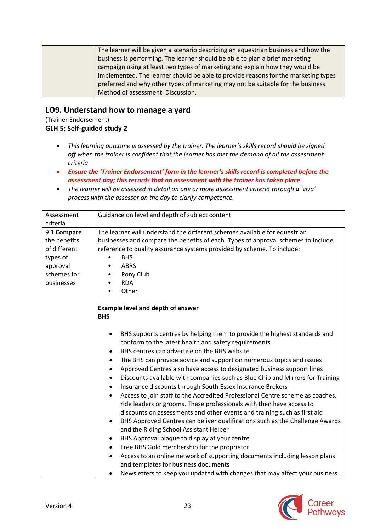| The learner will be given a scenario describing an equestrian business and how the |
|------------------------------------------------------------------------------------|
| business is performing. The learner should be able to plan a brief marketing       |
| campaign using at least two types of marketing and explain how they would be       |
| implemented. The learner should be able to provide reasons for the marketing types |
| preferred and why other types of marketing may not be suitable for the business.   |
| Method of assessment: Discussion.                                                  |

## **LO9. Understand how to manage a yard**

(Trainer Endorsement) **GLH 5; Self-guided study 2**

- *This learning outcome is assessed by the trainer. The learner's skills record should be signed off when the trainer is confident that the learner has met the demand of all the assessment criteria*
- *Ensure the 'Trainer Endorsement' form in the learner's skills record is completed before the assessment day; this records that an assessment with the trainer has taken place*
- *The learner will be assessed in detail on one or more assessment criteria through a 'viva' process with the assessor on the day to clarify competence.*

| Assessment<br>criteria                                                                           | Guidance on level and depth of subject content                                                                                                                                                                                                                                                                                                                                                                                                                                                                                                                                                                                                                                                                                                                                                                                                                                                                                                                                                                                                                                                                                                                                                                                                                                                   |
|--------------------------------------------------------------------------------------------------|--------------------------------------------------------------------------------------------------------------------------------------------------------------------------------------------------------------------------------------------------------------------------------------------------------------------------------------------------------------------------------------------------------------------------------------------------------------------------------------------------------------------------------------------------------------------------------------------------------------------------------------------------------------------------------------------------------------------------------------------------------------------------------------------------------------------------------------------------------------------------------------------------------------------------------------------------------------------------------------------------------------------------------------------------------------------------------------------------------------------------------------------------------------------------------------------------------------------------------------------------------------------------------------------------|
| 9.1 Compare<br>the benefits<br>of different<br>types of<br>approval<br>schemes for<br>businesses | The learner will understand the different schemes available for equestrian<br>businesses and compare the benefits of each. Types of approval schemes to include<br>reference to quality assurance systems provided by scheme. To include:<br><b>BHS</b><br><b>ABRS</b><br>Pony Club<br><b>RDA</b><br>Other<br><b>Example level and depth of answer</b><br><b>BHS</b>                                                                                                                                                                                                                                                                                                                                                                                                                                                                                                                                                                                                                                                                                                                                                                                                                                                                                                                             |
|                                                                                                  | BHS supports centres by helping them to provide the highest standards and<br>$\bullet$<br>conform to the latest health and safety requirements<br>BHS centres can advertise on the BHS website<br>$\bullet$<br>The BHS can provide advice and support on numerous topics and issues<br>٠<br>Approved Centres also have access to designated business support lines<br>$\bullet$<br>Discounts available with companies such as Blue Chip and Mirrors for Training<br>$\bullet$<br>Insurance discounts through South Essex Insurance Brokers<br>$\bullet$<br>Access to join staff to the Accredited Professional Centre scheme as coaches,<br>$\bullet$<br>ride leaders or grooms. These professionals with then have access to<br>discounts on assessments and other events and training such as first aid<br>BHS Approved Centres can deliver qualifications such as the Challenge Awards<br>$\bullet$<br>and the Riding School Assistant Helper<br>BHS Approval plaque to display at your centre<br>٠<br>Free BHS Gold membership for the proprietor<br>$\bullet$<br>Access to an online network of supporting documents including lesson plans<br>$\bullet$<br>and templates for business documents<br>Newsletters to keep you updated with changes that may affect your business<br>$\bullet$ |

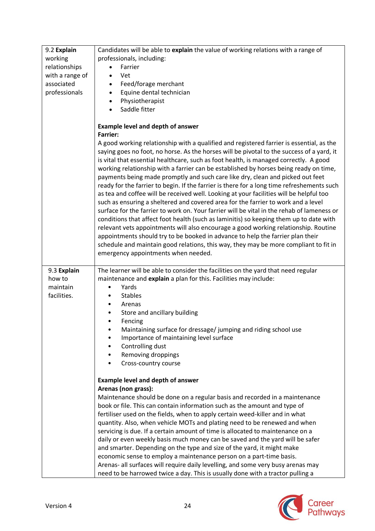| 9.2 Explain<br>working<br>relationships<br>with a range of<br>associated<br>professionals | Candidates will be able to explain the value of working relations with a range of<br>professionals, including:<br>Farrier<br>Vet<br>$\bullet$<br>Feed/forage merchant<br>Equine dental technician<br>$\bullet$<br>Physiotherapist<br>$\bullet$<br>Saddle fitter                                                                                                                                                                                                                                                                                                                                                                                                                                                                                                                                                                                                                                                                                                                                                                                                                                                                                                                                                                                                                                                                            |
|-------------------------------------------------------------------------------------------|--------------------------------------------------------------------------------------------------------------------------------------------------------------------------------------------------------------------------------------------------------------------------------------------------------------------------------------------------------------------------------------------------------------------------------------------------------------------------------------------------------------------------------------------------------------------------------------------------------------------------------------------------------------------------------------------------------------------------------------------------------------------------------------------------------------------------------------------------------------------------------------------------------------------------------------------------------------------------------------------------------------------------------------------------------------------------------------------------------------------------------------------------------------------------------------------------------------------------------------------------------------------------------------------------------------------------------------------|
|                                                                                           | <b>Example level and depth of answer</b><br><b>Farrier:</b><br>A good working relationship with a qualified and registered farrier is essential, as the<br>saying goes no foot, no horse. As the horses will be pivotal to the success of a yard, it<br>is vital that essential healthcare, such as foot health, is managed correctly. A good<br>working relationship with a farrier can be established by horses being ready on time,<br>payments being made promptly and such care like dry, clean and picked out feet<br>ready for the farrier to begin. If the farrier is there for a long time refreshements such<br>as tea and coffee will be received well. Looking at your facilities will be helpful too<br>such as ensuring a sheltered and covered area for the farrier to work and a level<br>surface for the farrier to work on. Your farrier will be vital in the rehab of lameness or<br>conditions that affect foot health (such as laminitis) so keeping them up to date with<br>relevant vets appointments will also encourage a good working relationship. Routine<br>appointments should try to be booked in advance to help the farrier plan their<br>schedule and maintain good relations, this way, they may be more compliant to fit in<br>emergency appointments when needed.                                     |
| 9.3 Explain<br>how to<br>maintain<br>facilities.                                          | The learner will be able to consider the facilities on the yard that need regular<br>maintenance and explain a plan for this. Facilities may include:<br>Yards<br>$\bullet$<br><b>Stables</b><br>Arenas<br>٠<br>Store and ancillary building<br>$\bullet$<br>Fencing<br>Maintaining surface for dressage/ jumping and riding school use<br>Importance of maintaining level surface<br>Controlling dust<br>Removing droppings<br>Cross-country course<br><b>Example level and depth of answer</b><br>Arenas (non grass):<br>Maintenance should be done on a regular basis and recorded in a maintenance<br>book or file. This can contain information such as the amount and type of<br>fertiliser used on the fields, when to apply certain weed-killer and in what<br>quantity. Also, when vehicle MOTs and plating need to be renewed and when<br>servicing is due. If a certain amount of time is allocated to maintenance on a<br>daily or even weekly basis much money can be saved and the yard will be safer<br>and smarter. Depending on the type and size of the yard, it might make<br>economic sense to employ a maintenance person on a part-time basis.<br>Arenas- all surfaces will require daily levelling, and some very busy arenas may<br>need to be harrowed twice a day. This is usually done with a tractor pulling a |

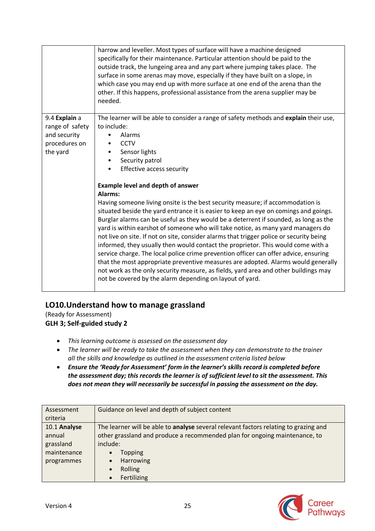|                                                                               | harrow and leveller. Most types of surface will have a machine designed<br>specifically for their maintenance. Particular attention should be paid to the<br>outside track, the lungeing area and any part where jumping takes place. The<br>surface in some arenas may move, especially if they have built on a slope, in<br>which case you may end up with more surface at one end of the arena than the<br>other. If this happens, professional assistance from the arena supplier may be<br>needed.                                                                                                                                                                                                                                                                                                                                                                                                                                                                                                                                                                                                                           |
|-------------------------------------------------------------------------------|-----------------------------------------------------------------------------------------------------------------------------------------------------------------------------------------------------------------------------------------------------------------------------------------------------------------------------------------------------------------------------------------------------------------------------------------------------------------------------------------------------------------------------------------------------------------------------------------------------------------------------------------------------------------------------------------------------------------------------------------------------------------------------------------------------------------------------------------------------------------------------------------------------------------------------------------------------------------------------------------------------------------------------------------------------------------------------------------------------------------------------------|
| 9.4 Explain a<br>range of safety<br>and security<br>procedures on<br>the yard | The learner will be able to consider a range of safety methods and explain their use,<br>to include:<br>Alarms<br><b>CCTV</b><br>Sensor lights<br>Security patrol<br><b>Effective access security</b><br><b>Example level and depth of answer</b><br>Alarms:<br>Having someone living onsite is the best security measure; if accommodation is<br>situated beside the yard entrance it is easier to keep an eye on comings and goings.<br>Burglar alarms can be useful as they would be a deterrent if sounded, as long as the<br>yard is within earshot of someone who will take notice, as many yard managers do<br>not live on site. If not on site, consider alarms that trigger police or security being<br>informed, they usually then would contact the proprietor. This would come with a<br>service charge. The local police crime prevention officer can offer advice, ensuring<br>that the most appropriate preventive measures are adopted. Alarms would generally<br>not work as the only security measure, as fields, yard area and other buildings may<br>not be covered by the alarm depending on layout of yard. |

## **LO10.Understand how to manage grassland**

(Ready for Assessment) **GLH 3; Self-guided study 2**

- *This learning outcome is assessed on the assessment day*
- *The learner will be ready to take the assessment when they can demonstrate to the trainer all the skills and knowledge as outlined in the assessment criteria listed below*
- *Ensure the 'Ready for Assessment' form in the learner's skills record is completed before the assessment day; this records the learner is of sufficient level to sit the assessment. This does not mean they will necessarily be successful in passing the assessment on the day.*

| Assessment   | Guidance on level and depth of subject content                                       |
|--------------|--------------------------------------------------------------------------------------|
| criteria     |                                                                                      |
| 10.1 Analyse | The learner will be able to analyse several relevant factors relating to grazing and |
| annual       | other grassland and produce a recommended plan for ongoing maintenance, to           |
| grassland    | include:                                                                             |
| maintenance  | Topping<br>$\bullet$                                                                 |
| programmes   | Harrowing<br>$\bullet$                                                               |
|              | Rolling<br>$\bullet$                                                                 |
|              | Fertilizing<br>$\bullet$                                                             |